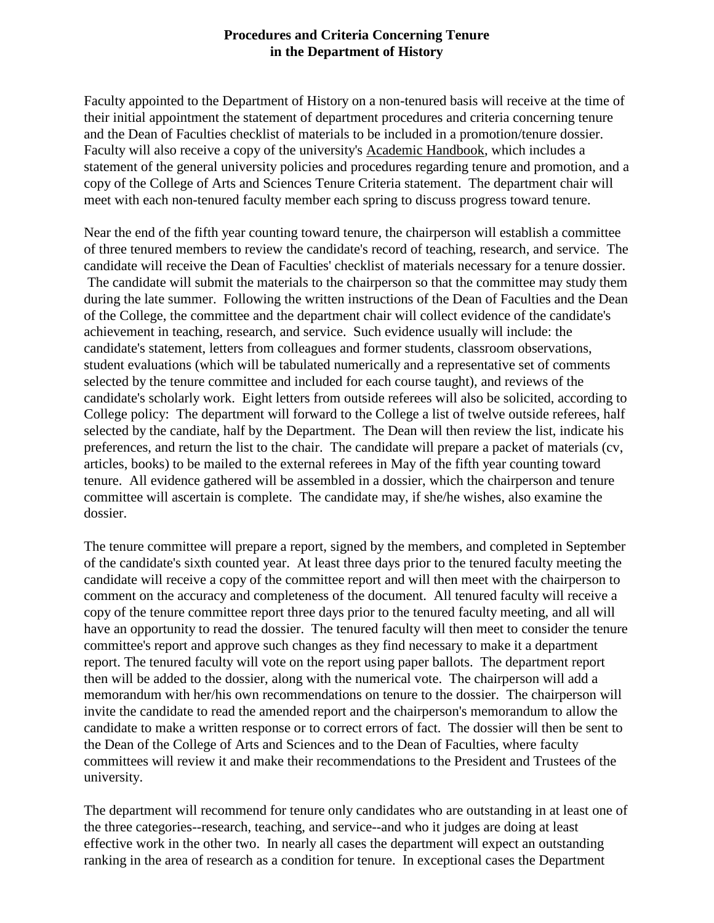## **Procedures and Criteria Concerning Tenure in the Department of History**

Faculty appointed to the Department of History on a non-tenured basis will receive at the time of their initial appointment the statement of department procedures and criteria concerning tenure and the Dean of Faculties checklist of materials to be included in a promotion/tenure dossier. Faculty will also receive a copy of the university's Academic Handbook, which includes a statement of the general university policies and procedures regarding tenure and promotion, and a copy of the College of Arts and Sciences Tenure Criteria statement. The department chair will meet with each non-tenured faculty member each spring to discuss progress toward tenure.

Near the end of the fifth year counting toward tenure, the chairperson will establish a committee of three tenured members to review the candidate's record of teaching, research, and service. The candidate will receive the Dean of Faculties' checklist of materials necessary for a tenure dossier. The candidate will submit the materials to the chairperson so that the committee may study them during the late summer. Following the written instructions of the Dean of Faculties and the Dean of the College, the committee and the department chair will collect evidence of the candidate's achievement in teaching, research, and service. Such evidence usually will include: the candidate's statement, letters from colleagues and former students, classroom observations, student evaluations (which will be tabulated numerically and a representative set of comments selected by the tenure committee and included for each course taught), and reviews of the candidate's scholarly work. Eight letters from outside referees will also be solicited, according to College policy: The department will forward to the College a list of twelve outside referees, half selected by the candiate, half by the Department. The Dean will then review the list, indicate his preferences, and return the list to the chair. The candidate will prepare a packet of materials (cv, articles, books) to be mailed to the external referees in May of the fifth year counting toward tenure. All evidence gathered will be assembled in a dossier, which the chairperson and tenure committee will ascertain is complete. The candidate may, if she/he wishes, also examine the dossier.

The tenure committee will prepare a report, signed by the members, and completed in September of the candidate's sixth counted year. At least three days prior to the tenured faculty meeting the candidate will receive a copy of the committee report and will then meet with the chairperson to comment on the accuracy and completeness of the document. All tenured faculty will receive a copy of the tenure committee report three days prior to the tenured faculty meeting, and all will have an opportunity to read the dossier. The tenured faculty will then meet to consider the tenure committee's report and approve such changes as they find necessary to make it a department report. The tenured faculty will vote on the report using paper ballots. The department report then will be added to the dossier, along with the numerical vote. The chairperson will add a memorandum with her/his own recommendations on tenure to the dossier. The chairperson will invite the candidate to read the amended report and the chairperson's memorandum to allow the candidate to make a written response or to correct errors of fact. The dossier will then be sent to the Dean of the College of Arts and Sciences and to the Dean of Faculties, where faculty committees will review it and make their recommendations to the President and Trustees of the university.

The department will recommend for tenure only candidates who are outstanding in at least one of the three categories--research, teaching, and service--and who it judges are doing at least effective work in the other two. In nearly all cases the department will expect an outstanding ranking in the area of research as a condition for tenure. In exceptional cases the Department